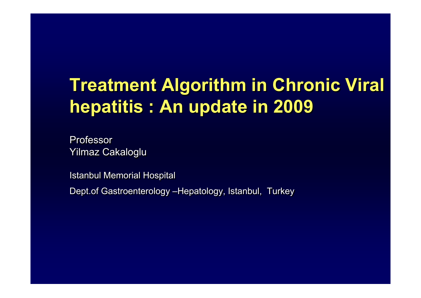# **Treatment Algorithm in Chronic Viral hepatitis : An update in 2009**

Professor Yilmaz Cakaloglu

Istanbul Memorial Hospital

Dept.of Gastroenterology –Hepatology, Istanbul, Turkey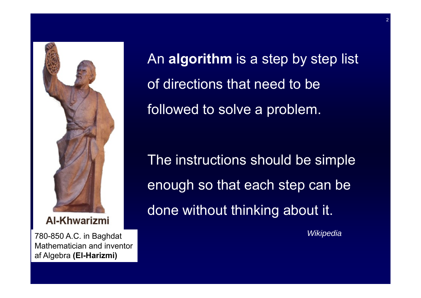

**Al-Khwarizmi** 

*Wikipedia* 780-850 A.C. in Baghdat Mathematician and inventor af Algebra **(El-Harizmi)**

An **algorithm** is a step by step list of directions that need to be followed to solve a problem.

The instructions should be simple enough so that each step can be done without thinking about it.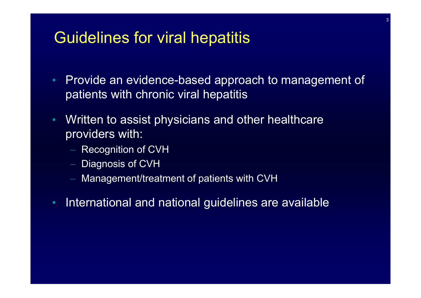#### Guidelines for viral hepatitis

- • Provide an evidence-based approach to management of patients with chronic viral hepatitis
- $\bullet$ Written to assist physicians and other healthcare providers with:
	- $-$  Recognition of CVH
	- $-$  Diagnosis of CVH
	- Management/treatment of patients with CVH
- •International and national guidelines are available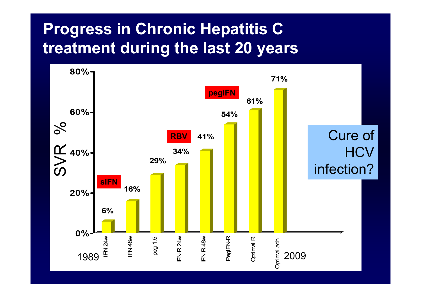### **Progress in Chronic Hepatitis C treatment during the last 20 years**

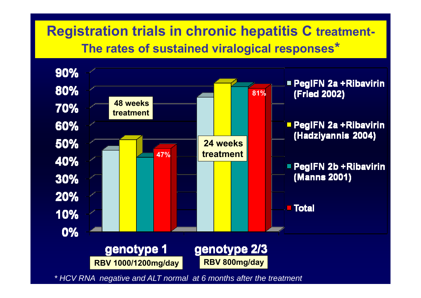#### **Registration trials in chronic hepatitis C treatment-The rates of sustained viralogical responses\***



*\* HCV RNA negative and ALT normal at 6 months after the treatment*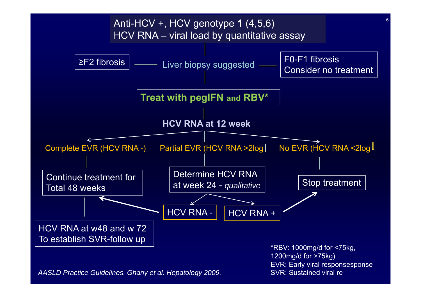

*AASLD Practice Guidelines. Ghany et al. Hepatology 2009.*

SVR: Sustained viral re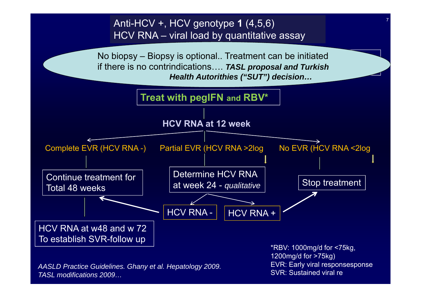Anti-HCV +, HCV genotype **1** (4,5,6) HCV RNA - viral load by quantitative assay



*AASLD Practice Guidelines. Ghany et al. Hepatology 2009. TASL modifications 2009…*

1200mg/d for >75kg) EVR: Early viral responsesponse SVR: Sustained viral re

7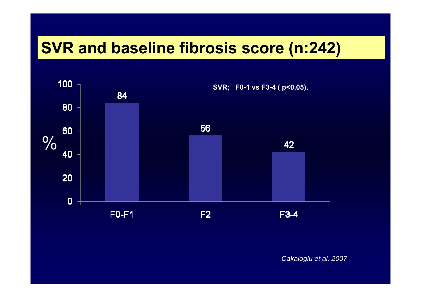#### **SVR and baseline fibrosis score (n:242)**



*Cakaloglu et al. 2007*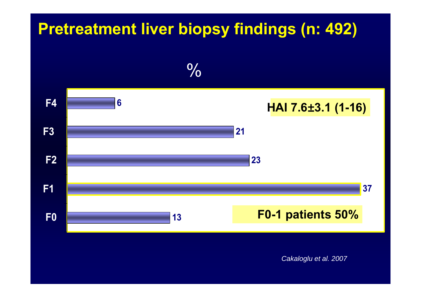#### **Pretreatment liver biopsy findings (n: 492)**



*Cakaloglu et al. 2007*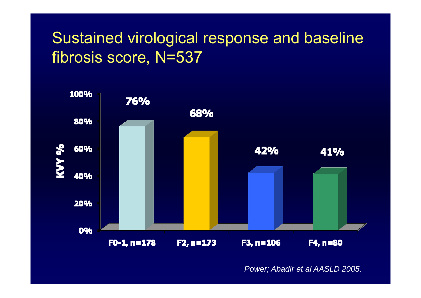### Sustained virological response and baseline fibrosis score, N=537



*Power; Abadir et al AASLD 2005.*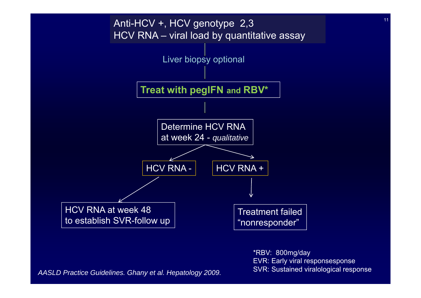

*AASLD Practice Guidelines. Ghany et al. Hepatology 2009.*

\*RBV: 800mg/day EVR: Early viral responsesponse SVR: Sustained viralological response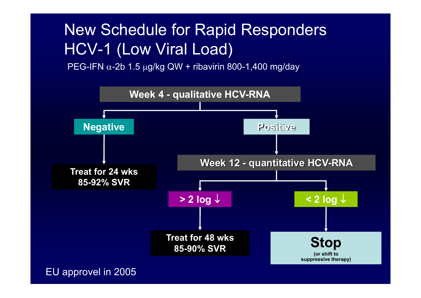## New Schedule for Rapid Responders HCV-1 (Low Viral Load)

PEG-IFN  $\alpha$ -2b 1.5 μg/kg QW + ribavirin 800-1,400 mg/day



EU approvel in 2005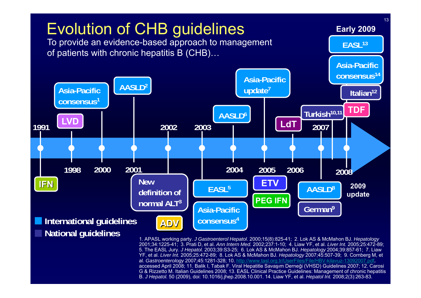

2001;34:1225-41; 3. Prati D, et al. *Ann Intern Med.* 2002;237:1-10; 4. Liaw YF, et al. *Liver Int.* 2005;25:472-89; 5. The EASL Jury. *J Hepatol.* 2003;39:S3-25; 6. Lok AS & McMahon BJ. *Hepatology* 2004;39:857-61; 7. Liaw YF, et al. *Liver Int.* 2005;25:472-89; 8. Lok AS & McMahon BJ. *Hepatology* 2007;45:507-39; 9. Cornberg M, et al. *Gastroenterology* 2007;45:1281-328; 10. <http://www.tasl.org.tr/UserFiles/File/HBV-kilavuz-13092007.pdf>, accessed April 2008; 11. Balik I, Tabak F. Viral Hepatitle Savaşım Derne ği (VHSD) Guidelines 2007; 12. Carosi G & Rizzetto M. Italian Guidelines 2008; 13. EASL Clinical Practice Guidelines: Management of chronic hepatitis B. *J Hepatol.* 50 (2009), doi: 10.1016/j.jhep.2008.10.001. 14. Liaw YF, et al. *Hepatol Int.* 2008;2(3):263-83.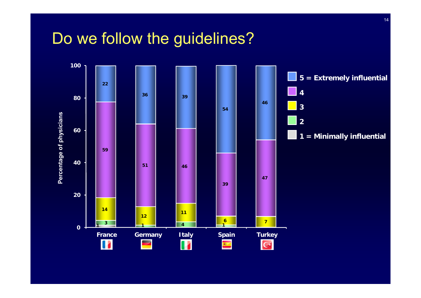#### Do we follow the guidelines?

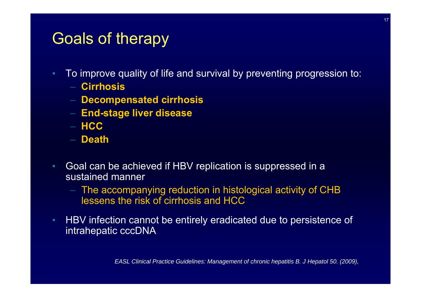#### Goals of therapy

- To improve quality of life and survival by preventing progression to:
	- − **Cirrhosis**
	- **Decompensated cirrhosis**
	- **End-stage liver disease**
	- − **HCC**
	- − **Death**
- • Goal can be achieved if HBV replication is suppressed in a sustained manner
	- The accompanying reduction in histological activity of CHB lessens the risk of cirrhosis and HCC
- HBV infection cannot be entirely eradicated due to persistence of intrahepatic cccDNA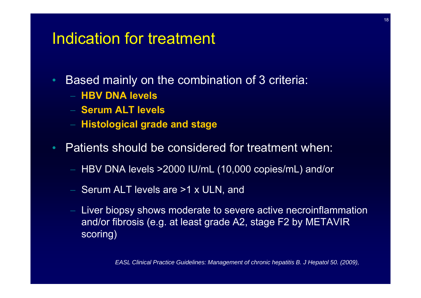#### Indication for treatment

- • Based mainly on the combination of 3 criteria:
	- − **HBV DNA levels**
	- − **Serum ALT levels**
	- **Histological grade and stage**
- • Patients should be considered for treatment when:
	- HBV DNA levels >2000 IU/mL (10,000 copies/mL) and/or
	- Serum ALT levels are >1 x ULN, and
	- Liver biopsy shows moderate to severe active necroinflammation and/or fibrosis (e.g. at least grade A2, stage F2 by METAVIR scoring)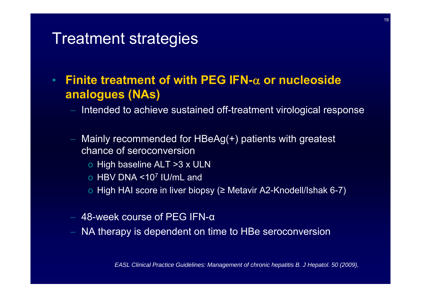#### Treatment strategies

• **Finite treatment of with PEG IFN-**α **or nucleoside analogues (NAs)**

- Intended to achieve sustained off-treatment virological response
- Mainly recommended for HBeAg(+) patients with greatest chance of seroconversion
	- o High baseline ALT >3 x ULN
	- o HBV DNA <10 7 IU/mL and
	- o High HAI score in liver biopsy ( <sup>≥</sup> Metavir A2-Knodell/Ishak 6-7)
- $-$  48-week course of PEG IFN- $\alpha$
- NA therapy is dependent on time to HBe seroconversion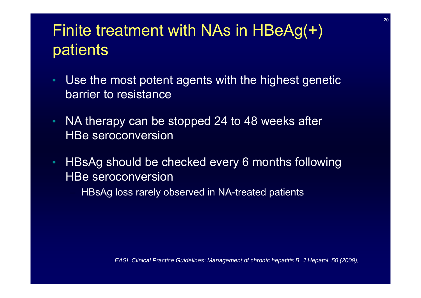#### Finite treatment with NAs in HBeAg(+) patients

- • Use the most potent agents with the highest genetic barrier to resistance
- $\bullet$  NA therapy can be stopped 24 to 48 weeks after HBe seroconversion
- • HBsAg should be checked every 6 months following HBe seroconversion
	- $-$  HBsAg loss rarely observed in NA-treated patients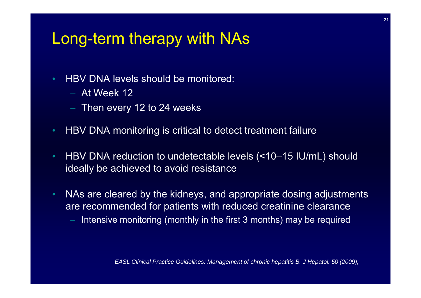#### Long-term therapy with NAs

- HBV DNA levels should be monitored:
	- − At Week 12
	- $-$  Then every 12 to 24 weeks
- HBV DNA monitoring is critical to detect treatment failure
- HBV DNA reduction to undetectable levels (<10–15 IU/mL) should ideally be achieved to avoid resistance
- • NAs are cleared by the kidneys, and appropriate dosing adjustments are recommended for patients with reduced creatinine clearance
	- Intensive monitoring (monthly in the first 3 months) may be required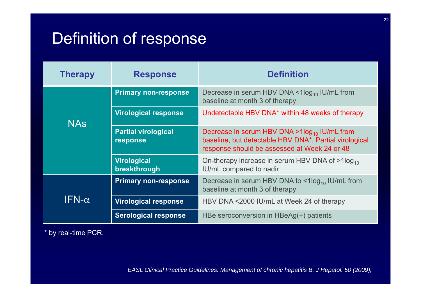### Definition of response

| <b>Therapy</b> | <b>Response</b>                        | <b>Definition</b>                                                                                                                                             |  |  |
|----------------|----------------------------------------|---------------------------------------------------------------------------------------------------------------------------------------------------------------|--|--|
| <b>NAS</b>     | <b>Primary non-response</b>            | Decrease in serum HBV DNA $\leq$ 1 $log_{10}$ IU/mL from<br>baseline at month 3 of therapy                                                                    |  |  |
|                | <b>Virological response</b>            | Undetectable HBV DNA <sup>*</sup> within 48 weeks of therapy                                                                                                  |  |  |
|                | <b>Partial virological</b><br>response | Decrease in serum HBV DNA > $1\log_{10}$ IU/mL from<br>baseline, but detectable HBV DNA*. Partial virological<br>response should be assessed at Week 24 or 48 |  |  |
|                | <b>Virological</b><br>breakthrough     | On-therapy increase in serum HBV DNA of $>1$ log <sub>10</sub><br>IU/mL compared to nadir                                                                     |  |  |
| IFN- $\alpha$  | <b>Primary non-response</b>            | Decrease in serum HBV DNA to $\leq 1$ log <sub>10</sub> IU/mL from<br>baseline at month 3 of therapy                                                          |  |  |
|                | <b>Virological response</b>            | HBV DNA <2000 IU/mL at Week 24 of therapy                                                                                                                     |  |  |
|                | <b>Serological response</b>            | HBe seroconversion in HBeAg(+) patients                                                                                                                       |  |  |

\* by real-time PCR.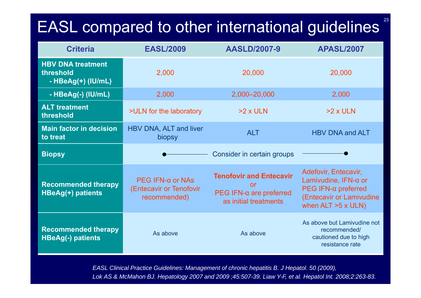# EASL compared to other international guidelines

23

| <b>Criteria</b>                                             | <b>EASL/2009</b>                                               | <b>AASLD/2007-9</b>                                                                         | <b>APASL/2007</b>                                                                                                                            |  |
|-------------------------------------------------------------|----------------------------------------------------------------|---------------------------------------------------------------------------------------------|----------------------------------------------------------------------------------------------------------------------------------------------|--|
| <b>HBV DNA treatment</b><br>threshold<br>- HBeAg(+) (IU/mL) | 2,000                                                          | 20,000                                                                                      | 20,000                                                                                                                                       |  |
| - HBeAg(-) (IU/mL)                                          | 2,000                                                          | 2,000-20,000                                                                                | 2,000                                                                                                                                        |  |
| <b>ALT</b> treatment<br>threshold                           | >ULN for the laboratory                                        | $>2 \times$ ULN                                                                             | $>2x$ ULN                                                                                                                                    |  |
| <b>Main factor in decision</b><br>to treat                  | HBV DNA, ALT and liver<br>biopsy                               | <b>ALT</b>                                                                                  | <b>HBV DNA and ALT</b>                                                                                                                       |  |
| <b>Biopsy</b>                                               |                                                                | Consider in certain groups                                                                  |                                                                                                                                              |  |
| <b>Recommended therapy</b><br>HBeAg(+) patients             | PEG IFN- $α$ or NAs<br>(Entecavir or Tenofovir<br>recommended) | <b>Tenofovir and Entecavir</b><br>or<br>PEG IFN- $α$ are preferred<br>as initial treatments | Adefovir, Entecavir,<br>Lamivudine, $IFN-\alpha$ or<br>$PEG IFN-\alpha$ preferred<br>(Entecavir or Lamivudine<br>when $ALT > 5 \times ULN$ ) |  |
| <b>Recommended therapy</b><br><b>HBeAg(-) patients</b>      | As above                                                       | As above                                                                                    | As above but Lamivudine not<br>recommended/<br>cautioned due to high<br>resistance rate                                                      |  |

*EASL Clinical Practice Guidelines: Management of chronic hepatitis B. J Hepatol. 50 (2009), Lok AS & McMahon BJ. Hepatology 2007 and 2009 ;45:507-39. Liaw Y-F, et al. Hepatol Int. 2008;2:263-83.*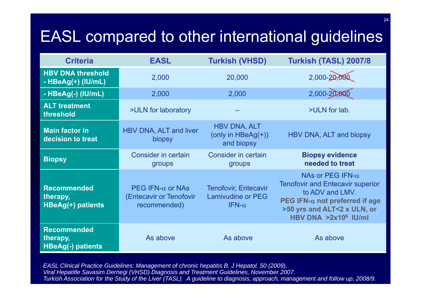## EASL compared to other international guidelines

| <b>Criteria</b>                                            | <b>EASL</b>                                                         | <b>Turkish (VHSD)</b>                                                    | Turkish (TASL) 2007/8                                                                                                                                                                      |  |
|------------------------------------------------------------|---------------------------------------------------------------------|--------------------------------------------------------------------------|--------------------------------------------------------------------------------------------------------------------------------------------------------------------------------------------|--|
| <b>HBV DNA threshold</b><br>- HBeAg(+) (IU/mL)             | 2,000                                                               | 20,000                                                                   | 2,000-20,000                                                                                                                                                                               |  |
| - HBeAg(-) (IU/mL)                                         | 2,000                                                               | 2,000                                                                    | $2,000 - 20,80$                                                                                                                                                                            |  |
| <b>ALT treatment</b><br>threshold                          | >ULN for laboratory                                                 |                                                                          | >ULN for lab.                                                                                                                                                                              |  |
| <b>Main factor in</b><br>decision to treat                 | HBV DNA, ALT and liver<br>biopsy                                    | <b>HBV DNA, ALT</b><br>(only in $HBeAg(+)$ )<br>and biopsy               | HBV DNA, ALT and biopsy                                                                                                                                                                    |  |
| <b>Biopsy</b>                                              | <b>Consider in certain</b><br>groups                                | <b>Consider in certain</b><br>groups                                     | <b>Biopsy evidence</b><br>needed to treat                                                                                                                                                  |  |
| <b>Recommended</b><br>therapy,<br>HBeAg(+) patients        | PEG IFN- $\alpha$ or NAs<br>(Entecavir or Tenofovir<br>recommended) | <b>Tenofovir, Entecavir</b><br><b>Lamivudine or PEG</b><br>IFN- $\alpha$ | NAs or PEG IFN- $\alpha$<br><b>Tenofovir and Entecavir superior</b><br>to ADV and LMV.<br>PEG IFN- $\alpha$ not preferred if age<br>>50 yrs and ALT<2 x ULN, or<br>HBV DNA $>2x10^6$ IU/ml |  |
| <b>Recommended</b><br>therapy,<br><b>HBeAg(-) patients</b> | As above                                                            | As above                                                                 | As above                                                                                                                                                                                   |  |

*EASL Clinical Practice Guidelines: Management of chronic hepatitis B. J Hepatol. 50 (2009), Viral Hepatitle Savasim Dernegi (VHSD) Diagnosis and Treatment Guidelines, November 2007. Turkish Association for the Study of the Liver (TASL). A guideline to diagnosis, approach, management and follow up, 2008/9.*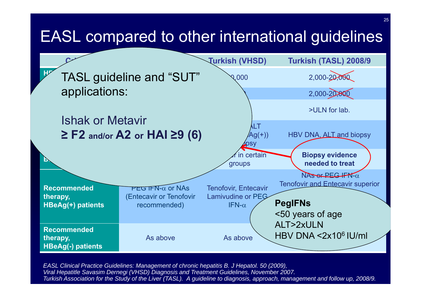#### EASL compared to other international guidelines



*EASL Clinical Practice Guidelines: Management of chronic hepatitis B. J Hepatol. 50 (2009), Viral Hepatitle Savasim Dernegi (VHSD) Diagnosis and Treatment Guidelines, November 2007. Turkish Association for the Study of the Liver (TASL). A guideline to diagnosis, approach, management and follow up, 2008/9.*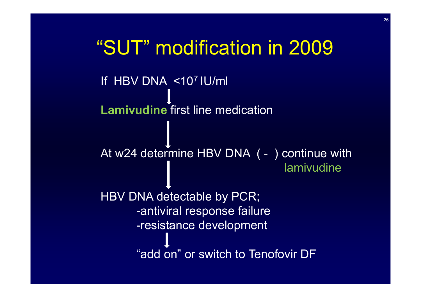If HBV DNA <107 IU/ml **Lamivudine** first line medication At w24 determine HBV DNA ( - ) continue with lamivudine HBV DNA detectable by PCR; -antiviral response failure -resistance development "add on" or switch to Tenofovir DF "SUT" modification in 2009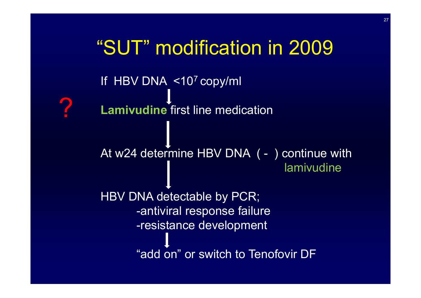If HBV DNA <107 copy/ml **Lamivudine** first line medication At w24 determine HBV DNA ( - ) continue with lamivudine HBV DNA detectable by PCR; -antiviral response failure -resistance development "add on" or switch to Tenofovir DF "SUT" modification in 2009?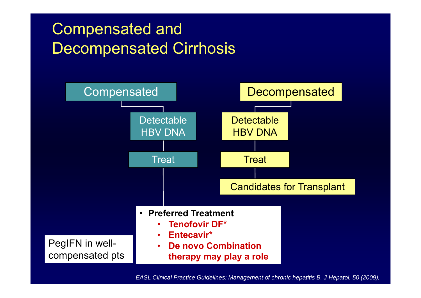### Compensated and Decompensated Cirrhosis



*EASL Clinical Practice Guidelines: Management of chronic hepatitis B. J Hepatol. 50 (2009),*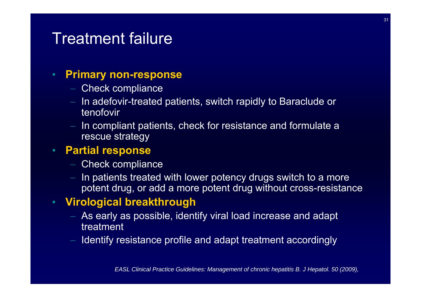#### Treatment failure

#### •**Primary non-response**

- Check compliance
- $-$  In adefovir-treated patients, switch rapidly to Baraclude or tenofovir
- In compliant patients, check for resistance and formulate a rescue strategy

#### $\bullet$ **Partial response**

- Check compliance
- In patients treated with lower potency drugs switch to a more potent drug, or add a more potent drug without cross-resistance

#### **Virological breakthrough**

- $-$  As early as possible, identify viral load increase and adapt  $\,$ treatment
- Identify resistance profile and adapt treatment accordingly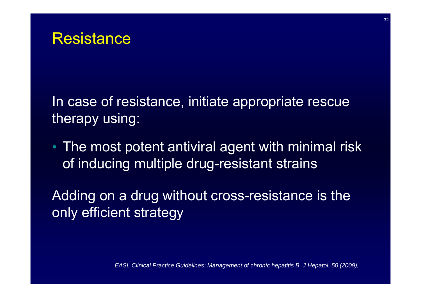In case of resistance, initiate appropriate rescue therapy using:

• The most potent antiviral agent with minimal risk of inducing multiple drug-resistant strains

Adding on a drug without cross-resistance is the only efficient strategy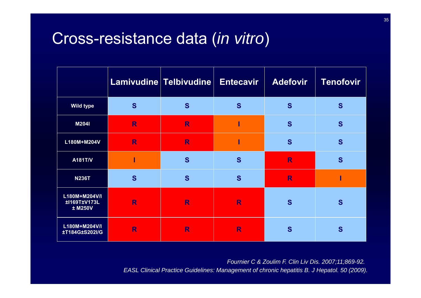#### Cross-resistance data (*in vitro*)

|                                          |   | Lamivudine Telbivudine | <b>Entecavir</b> | <b>Adefovir</b> | <b>Tenofovir</b> |
|------------------------------------------|---|------------------------|------------------|-----------------|------------------|
| <b>Wild type</b>                         | S | S                      | S                | S               | S                |
| M204I                                    | R | R                      |                  | S               | S                |
| L180M+M204V                              | R | R                      |                  | S               | S                |
| A181T/V                                  |   | S                      | S                | R               | S                |
| <b>N236T</b>                             | S | S                      | S                | R               |                  |
| L180M+M204V/I<br>±1169T±V173L<br>± M250V | R | R                      | R                | S               | S                |
| L180M+M204V/I<br>±T184G±S202I/G          | R | R                      | R                | S               | S                |

*Fournier C & Zoulim F. Clin Liv Dis. 2007;11;869-92. EASL Clinical Practice Guidelines: Management of chronic hepatitis B. J Hepatol. 50 (2009).*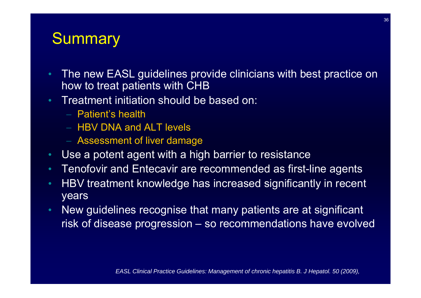#### **Summary**

- • The new EASL guidelines provide clinicians with best practice on how to treat patients with CHB
- • Treatment initiation should be based on:
	- − Patient's health
	- − HBV DNA and ALT levels
	- Assessment of liver damage
- •Use a potent agent with a high barrier to resistance
- •Tenofovir and Entecavir are recommended as first-line agents
- • HBV treatment knowledge has increased significantly in recent years
- • New guidelines recognise that many patients are at significant risk of disease progression – so recommendations have evolved